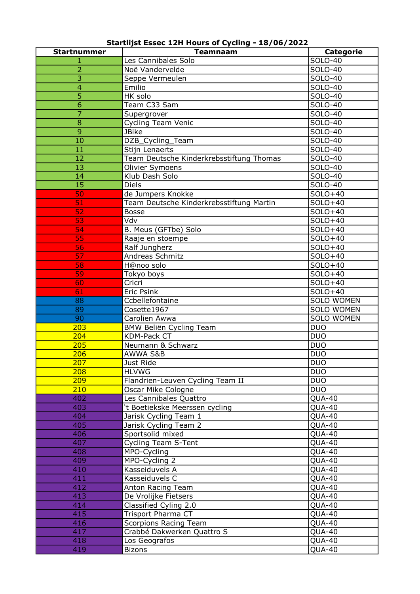Startlijst Essec 12H Hours of Cycling - 18/06/2022

| <b>Startnummer</b> | <b>Teamnaam</b>                          | <b>Categorie</b>    |
|--------------------|------------------------------------------|---------------------|
|                    | Les Cannibales Solo                      | SOLO-40             |
| $\overline{2}$     | Noë Vandervelde                          | SOLO-40             |
| $\overline{3}$     | Seppe Vermeulen                          | SOLO-40             |
| 4                  | Emilio                                   | SOLO-40             |
| 5                  | HK solo                                  | <b>SOLO-40</b>      |
| 6                  | Team C33 Sam                             | SOLO-40             |
| $\overline{7}$     | Supergrover                              | SOLO-40             |
| 8                  | <b>Cycling Team Venic</b>                | <b>SOLO-40</b>      |
| $\overline{9}$     | <b>JBike</b>                             | SOLO-40             |
| 10                 |                                          | SOLO-40             |
| 11                 | DZB_Cycling_Team                         |                     |
|                    | Stijn Lenaerts                           | SOLO-40             |
| 12                 | Team Deutsche Kinderkrebsstiftung Thomas | SOLO-40             |
| 13                 | Olivier Symoens                          | SOLO-40             |
| 14                 | Klub Dash Solo                           | SOLO-40             |
| $\overline{15}$    | <b>Diels</b>                             | SOLO-40             |
| 50                 | de Jumpers Knokke                        | SOLO+40             |
| 51                 | Team Deutsche Kinderkrebsstiftung Martin | SOLO+40             |
| 52                 | <b>Bosse</b>                             | SOLO+40             |
| 53                 | Vdv                                      | SOLO+40             |
| 54                 | B. Meus (GFTbe) Solo                     | SOLO+40             |
| 55                 | Raaje en stoempe                         | SOLO+40             |
| 56                 | Ralf Jungherz                            | SOLO+40             |
| 57                 | Andreas Schmitz                          | SOLO+40             |
| 58                 | H@noo solo                               | SOLO+40             |
| 59                 | Tokyo boys                               | SOLO+40             |
| 60                 | Cricri                                   | SOLO+40             |
| 61                 | Eric Psink                               | SOLO+40             |
| 88                 | Ccbellefontaine                          | <b>SOLO WOMEN</b>   |
| 89                 | Cosette1967                              | <b>SOLO WOMEN</b>   |
| 90                 | Carolien Awwa                            | <b>SOLO WOMEN</b>   |
| 203                | BMW Beliën Cycling Team                  | <b>DUO</b>          |
| 204                | <b>KDM-Pack CT</b>                       | <b>DUO</b>          |
| 205                | Neumann & Schwarz                        | <b>DUO</b>          |
| 206                | <b>AWWA S&amp;B</b>                      | <b>DUO</b>          |
| 207                | Just Ride                                | <b>DUO</b>          |
| 208                | <b>HLVWG</b>                             | <b>DUO</b>          |
| 209                | Flandrien-Leuven Cycling Team II         | <b>DUO</b>          |
| 210                | Oscar Mike Cologne                       | <b>DUO</b>          |
| 402                | Les Cannibales Quattro                   | $\overline{QUA-40}$ |
| 403                | 't Boetiekske Meerssen cycling           | <b>QUA-40</b>       |
| 404                | Jarisk Cycling Team 1                    | <b>QUA-40</b>       |
| 405                | Jarisk Cycling Team 2                    | <b>QUA-40</b>       |
| 406                | Sportsolid mixed                         | <b>QUA-40</b>       |
| 407                | <b>Cycling Team S-Tent</b>               | <b>QUA-40</b>       |
| 408                | MPO-Cycling                              | <b>QUA-40</b>       |
| 409                | MPO-Cycling 2                            | <b>QUA-40</b>       |
| 410                | Kasseiduvels A                           | QUA-40              |
| 411                | Kasseiduvels C                           | <b>QUA-40</b>       |
| 412                | Anton Racing Team                        | <b>QUA-40</b>       |
| 413                | De Vrolijke Fietsers                     | <b>QUA-40</b>       |
| 414                | Classified Cyling 2.0                    | <b>QUA-40</b>       |
| 415                | Trisport Pharma CT                       | QUA-40              |
| 416                | Scorpions Racing Team                    | <b>QUA-40</b>       |
| 417                | Crabbé Dakwerken Quattro S               | <b>QUA-40</b>       |
| 418                | Los Geografos                            | <b>QUA-40</b>       |
| 419                | <b>Bizons</b>                            | <b>QUA-40</b>       |